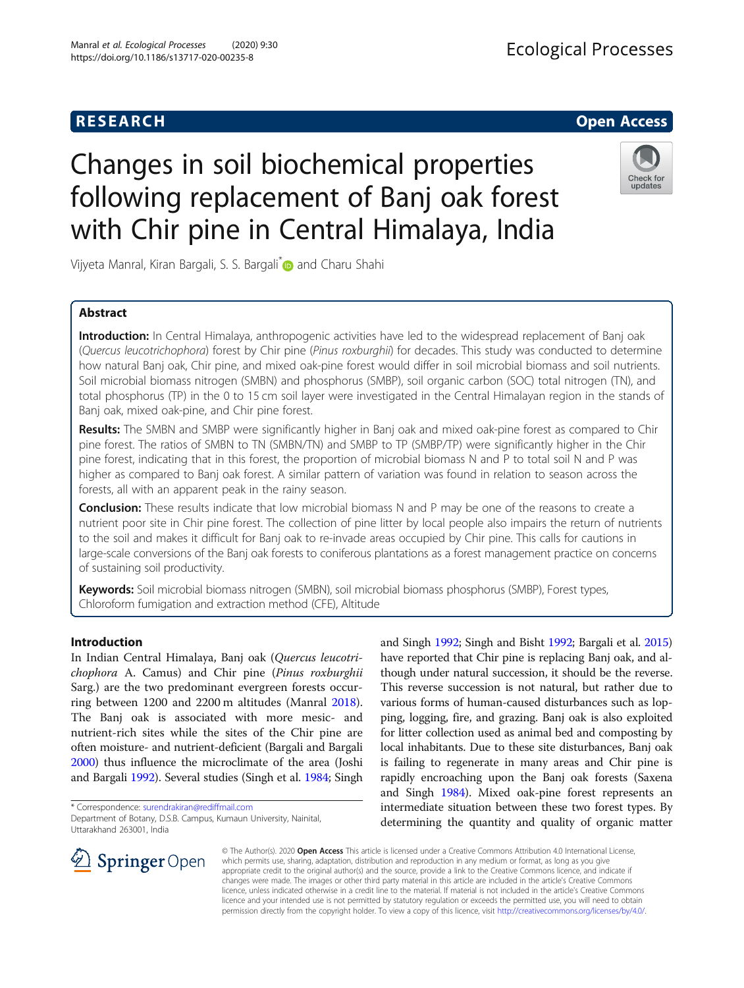## **RESEARCH CHE Open Access**

# **Ecological Processes**

# Changes in soil biochemical properties following replacement of Banj oak forest with Chir pine in Central Himalaya, India



Vijyeta Manral, Kiran Bargali, S. S. Bargali<sup>[\\*](http://orcid.org/0000-0001-6341-0945)</sup> and Charu Shahi

## Abstract

Introduction: In Central Himalaya, anthropogenic activities have led to the widespread replacement of Banj oak (Quercus leucotrichophora) forest by Chir pine (Pinus roxburghii) for decades. This study was conducted to determine how natural Banj oak, Chir pine, and mixed oak-pine forest would differ in soil microbial biomass and soil nutrients. Soil microbial biomass nitrogen (SMBN) and phosphorus (SMBP), soil organic carbon (SOC) total nitrogen (TN), and total phosphorus (TP) in the 0 to 15 cm soil layer were investigated in the Central Himalayan region in the stands of Banj oak, mixed oak-pine, and Chir pine forest.

Results: The SMBN and SMBP were significantly higher in Banj oak and mixed oak-pine forest as compared to Chir pine forest. The ratios of SMBN to TN (SMBN/TN) and SMBP to TP (SMBP/TP) were significantly higher in the Chir pine forest, indicating that in this forest, the proportion of microbial biomass N and P to total soil N and P was higher as compared to Banj oak forest. A similar pattern of variation was found in relation to season across the forests, all with an apparent peak in the rainy season.

**Conclusion:** These results indicate that low microbial biomass N and P may be one of the reasons to create a nutrient poor site in Chir pine forest. The collection of pine litter by local people also impairs the return of nutrients to the soil and makes it difficult for Banj oak to re-invade areas occupied by Chir pine. This calls for cautions in large-scale conversions of the Banj oak forests to coniferous plantations as a forest management practice on concerns of sustaining soil productivity.

Keywords: Soil microbial biomass nitrogen (SMBN), soil microbial biomass phosphorus (SMBP), Forest types, Chloroform fumigation and extraction method (CFE), Altitude

#### Introduction

In Indian Central Himalaya, Banj oak (Quercus leucotrichophora A. Camus) and Chir pine (Pinus roxburghii Sarg.) are the two predominant evergreen forests occurring between 1200 and 2200 m altitudes (Manral [2018](#page-8-0)). The Banj oak is associated with more mesic- and nutrient-rich sites while the sites of the Chir pine are often moisture- and nutrient-deficient (Bargali and Bargali [2000\)](#page-8-0) thus influence the microclimate of the area (Joshi and Bargali [1992\)](#page-8-0). Several studies (Singh et al. [1984;](#page-8-0) Singh

\* Correspondence: [surendrakiran@rediffmail.com](mailto:surendrakiran@rediffmail.com)

and Singh [1992](#page-8-0); Singh and Bisht [1992](#page-8-0); Bargali et al. [2015](#page-8-0)) have reported that Chir pine is replacing Banj oak, and although under natural succession, it should be the reverse. This reverse succession is not natural, but rather due to various forms of human-caused disturbances such as lopping, logging, fire, and grazing. Banj oak is also exploited for litter collection used as animal bed and composting by local inhabitants. Due to these site disturbances, Banj oak is failing to regenerate in many areas and Chir pine is rapidly encroaching upon the Banj oak forests (Saxena and Singh [1984](#page-8-0)). Mixed oak-pine forest represents an intermediate situation between these two forest types. By determining the quantity and quality of organic matter



© The Author(s). 2020 Open Access This article is licensed under a Creative Commons Attribution 4.0 International License, which permits use, sharing, adaptation, distribution and reproduction in any medium or format, as long as you give appropriate credit to the original author(s) and the source, provide a link to the Creative Commons licence, and indicate if changes were made. The images or other third party material in this article are included in the article's Creative Commons licence, unless indicated otherwise in a credit line to the material. If material is not included in the article's Creative Commons licence and your intended use is not permitted by statutory regulation or exceeds the permitted use, you will need to obtain permission directly from the copyright holder. To view a copy of this licence, visit <http://creativecommons.org/licenses/by/4.0/>.

Department of Botany, D.S.B. Campus, Kumaun University, Nainital, Uttarakhand 263001, India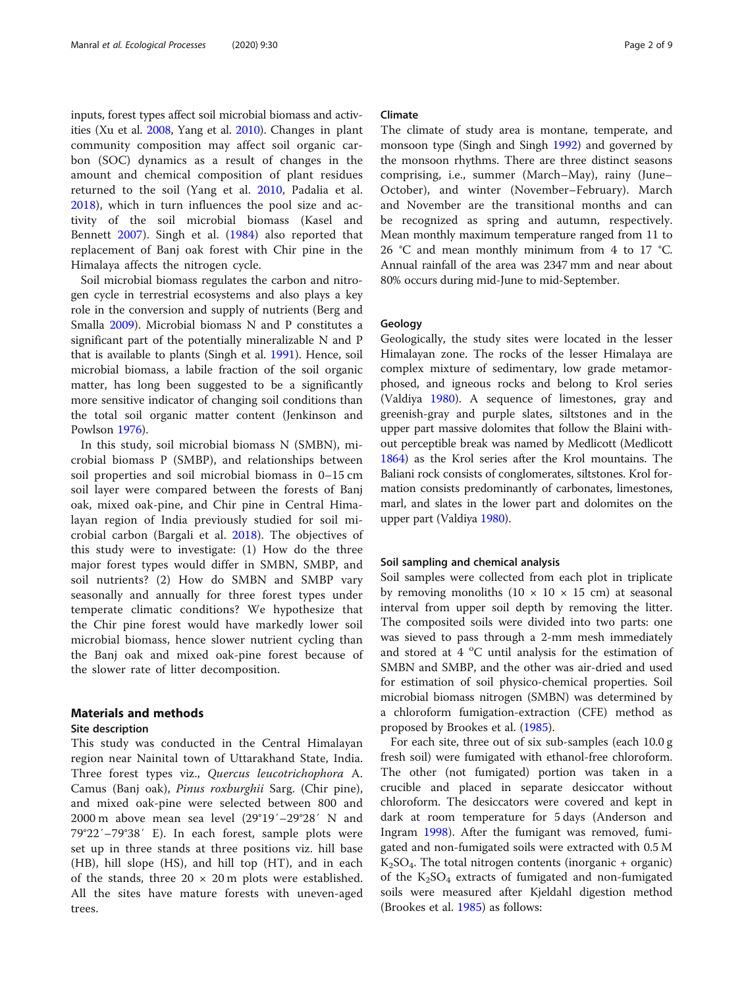inputs, forest types affect soil microbial biomass and activities (Xu et al. [2008,](#page-8-0) Yang et al. [2010](#page-8-0)). Changes in plant community composition may affect soil organic carbon (SOC) dynamics as a result of changes in the amount and chemical composition of plant residues returned to the soil (Yang et al. [2010](#page-8-0), Padalia et al. [2018\)](#page-8-0), which in turn influences the pool size and activity of the soil microbial biomass (Kasel and Bennett [2007](#page-8-0)). Singh et al. ([1984\)](#page-8-0) also reported that replacement of Banj oak forest with Chir pine in the Himalaya affects the nitrogen cycle.

Soil microbial biomass regulates the carbon and nitrogen cycle in terrestrial ecosystems and also plays a key role in the conversion and supply of nutrients (Berg and Smalla [2009](#page-8-0)). Microbial biomass N and P constitutes a significant part of the potentially mineralizable N and P that is available to plants (Singh et al. [1991](#page-8-0)). Hence, soil microbial biomass, a labile fraction of the soil organic matter, has long been suggested to be a significantly more sensitive indicator of changing soil conditions than the total soil organic matter content (Jenkinson and Powlson [1976\)](#page-8-0).

In this study, soil microbial biomass N (SMBN), microbial biomass P (SMBP), and relationships between soil properties and soil microbial biomass in 0–15 cm soil layer were compared between the forests of Banj oak, mixed oak-pine, and Chir pine in Central Himalayan region of India previously studied for soil microbial carbon (Bargali et al. [2018\)](#page-8-0). The objectives of this study were to investigate: (1) How do the three major forest types would differ in SMBN, SMBP, and soil nutrients? (2) How do SMBN and SMBP vary seasonally and annually for three forest types under temperate climatic conditions? We hypothesize that the Chir pine forest would have markedly lower soil microbial biomass, hence slower nutrient cycling than the Banj oak and mixed oak-pine forest because of the slower rate of litter decomposition.

## Materials and methods

## Site description

This study was conducted in the Central Himalayan region near Nainital town of Uttarakhand State, India. Three forest types viz., Quercus leucotrichophora A. Camus (Banj oak), Pinus roxburghii Sarg. (Chir pine), and mixed oak-pine were selected between 800 and 2000 m above mean sea level (29°19′–29°28′ N and 79°22′–79°38′ E). In each forest, sample plots were set up in three stands at three positions viz. hill base (HB), hill slope (HS), and hill top (HT), and in each of the stands, three  $20 \times 20$  m plots were established. All the sites have mature forests with uneven-aged trees.

## Climate

The climate of study area is montane, temperate, and monsoon type (Singh and Singh [1992](#page-8-0)) and governed by the monsoon rhythms. There are three distinct seasons comprising, i.e., summer (March–May), rainy (June– October), and winter (November–February). March and November are the transitional months and can be recognized as spring and autumn, respectively. Mean monthly maximum temperature ranged from 11 to 26 °C and mean monthly minimum from 4 to 17 °C. Annual rainfall of the area was 2347 mm and near about 80% occurs during mid-June to mid-September.

#### Geology

Geologically, the study sites were located in the lesser Himalayan zone. The rocks of the lesser Himalaya are complex mixture of sedimentary, low grade metamorphosed, and igneous rocks and belong to Krol series (Valdiya [1980](#page-8-0)). A sequence of limestones, gray and greenish-gray and purple slates, siltstones and in the upper part massive dolomites that follow the Blaini without perceptible break was named by Medlicott (Medlicott [1864\)](#page-8-0) as the Krol series after the Krol mountains. The Baliani rock consists of conglomerates, siltstones. Krol formation consists predominantly of carbonates, limestones, marl, and slates in the lower part and dolomites on the upper part (Valdiya [1980](#page-8-0)).

#### Soil sampling and chemical analysis

Soil samples were collected from each plot in triplicate by removing monoliths  $(10 \times 10 \times 15 \text{ cm})$  at seasonal interval from upper soil depth by removing the litter. The composited soils were divided into two parts: one was sieved to pass through a 2-mm mesh immediately and stored at  $4^{\circ}$ C until analysis for the estimation of SMBN and SMBP, and the other was air-dried and used for estimation of soil physico-chemical properties. Soil microbial biomass nitrogen (SMBN) was determined by a chloroform fumigation-extraction (CFE) method as proposed by Brookes et al. [\(1985\)](#page-8-0).

For each site, three out of six sub-samples (each 10.0 g fresh soil) were fumigated with ethanol-free chloroform. The other (not fumigated) portion was taken in a crucible and placed in separate desiccator without chloroform. The desiccators were covered and kept in dark at room temperature for 5 days (Anderson and Ingram [1998\)](#page-8-0). After the fumigant was removed, fumigated and non-fumigated soils were extracted with 0.5 M  $K_2SO_4$ . The total nitrogen contents (inorganic + organic) of the  $K_2SO_4$  extracts of fumigated and non-fumigated soils were measured after Kjeldahl digestion method (Brookes et al. [1985\)](#page-8-0) as follows: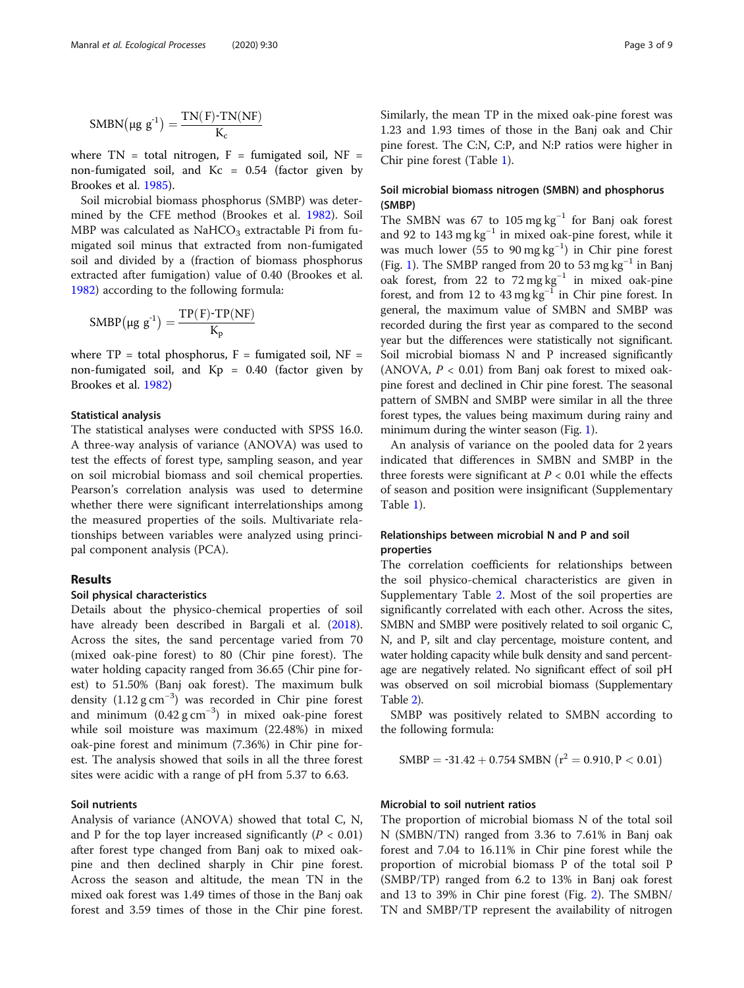$$
SMBN(\mu g g^{-1}) = \frac{TN(F)-TN(NF)}{K_c}
$$

where  $TN = total$  nitrogen,  $F =$  fumigated soil,  $NF =$ non-fumigated soil, and  $Kc = 0.54$  (factor given by Brookes et al. [1985\)](#page-8-0).

Soil microbial biomass phosphorus (SMBP) was determined by the CFE method (Brookes et al. [1982](#page-8-0)). Soil MBP was calculated as NaHCO<sub>3</sub> extractable Pi from fumigated soil minus that extracted from non-fumigated soil and divided by a (fraction of biomass phosphorus extracted after fumigation) value of 0.40 (Brookes et al. [1982](#page-8-0)) according to the following formula:

$$
SMBP\big(\mu g\ g^{\text{-}1}\big)=\frac{TP(F)\text{-}TP(NF)}{K_p}
$$

where  $TP = total$  phosphorus,  $F =$  fumigated soil,  $NF =$ non-fumigated soil, and Kp = 0.40 (factor given by Brookes et al. [1982\)](#page-8-0)

## Statistical analysis

The statistical analyses were conducted with SPSS 16.0. A three-way analysis of variance (ANOVA) was used to test the effects of forest type, sampling season, and year on soil microbial biomass and soil chemical properties. Pearson's correlation analysis was used to determine whether there were significant interrelationships among the measured properties of the soils. Multivariate relationships between variables were analyzed using principal component analysis (PCA).

## Results

#### Soil physical characteristics

Details about the physico-chemical properties of soil have already been described in Bargali et al. ([2018](#page-8-0)). Across the sites, the sand percentage varied from 70 (mixed oak-pine forest) to 80 (Chir pine forest). The water holding capacity ranged from 36.65 (Chir pine forest) to 51.50% (Banj oak forest). The maximum bulk density  $(1.12 \text{ g cm}^{-3})$  was recorded in Chir pine forest and minimum  $(0.42 \text{ g cm}^{-3})$  in mixed oak-pine forest while soil moisture was maximum (22.48%) in mixed oak-pine forest and minimum (7.36%) in Chir pine forest. The analysis showed that soils in all the three forest sites were acidic with a range of pH from 5.37 to 6.63.

#### Soil nutrients

Analysis of variance (ANOVA) showed that total C, N, and P for the top layer increased significantly ( $P < 0.01$ ) after forest type changed from Banj oak to mixed oakpine and then declined sharply in Chir pine forest. Across the season and altitude, the mean TN in the mixed oak forest was 1.49 times of those in the Banj oak forest and 3.59 times of those in the Chir pine forest. Similarly, the mean TP in the mixed oak-pine forest was 1.23 and 1.93 times of those in the Banj oak and Chir pine forest. The C:N, C:P, and N:P ratios were higher in Chir pine forest (Table [1](#page-3-0)).

## Soil microbial biomass nitrogen (SMBN) and phosphorus (SMBP)

The SMBN was 67 to 105 mg  $kg^{-1}$  for Banj oak forest and 92 to 143 mg kg−<sup>1</sup> in mixed oak-pine forest, while it was much lower (55 to 90 mg kg<sup>-1</sup>) in Chir pine forest (Fig. [1](#page-4-0)). The SMBP ranged from 20 to 53 mg  $kg^{-1}$  in Banj oak forest, from 22 to 72 mg kg−<sup>1</sup> in mixed oak-pine forest, and from 12 to  $43 \text{ mg kg}^{-1}$  in Chir pine forest. In general, the maximum value of SMBN and SMBP was recorded during the first year as compared to the second year but the differences were statistically not significant. Soil microbial biomass N and P increased significantly (ANOVA,  $P < 0.01$ ) from Banj oak forest to mixed oakpine forest and declined in Chir pine forest. The seasonal pattern of SMBN and SMBP were similar in all the three forest types, the values being maximum during rainy and minimum during the winter season (Fig. [1](#page-4-0)).

An analysis of variance on the pooled data for 2 years indicated that differences in SMBN and SMBP in the three forests were significant at  $P < 0.01$  while the effects of season and position were insignificant (Supplementary Table [1\)](#page-7-0).

## Relationships between microbial N and P and soil properties

The correlation coefficients for relationships between the soil physico-chemical characteristics are given in Supplementary Table [2](#page-7-0). Most of the soil properties are significantly correlated with each other. Across the sites, SMBN and SMBP were positively related to soil organic C, N, and P, silt and clay percentage, moisture content, and water holding capacity while bulk density and sand percentage are negatively related. No significant effect of soil pH was observed on soil microbial biomass (Supplementary Table [2](#page-7-0)).

SMBP was positively related to SMBN according to the following formula:

$$
SMBP = -31.42 + 0.754 SMBN (r^2 = 0.910, P < 0.01)
$$

## Microbial to soil nutrient ratios

The proportion of microbial biomass N of the total soil N (SMBN/TN) ranged from 3.36 to 7.61% in Banj oak forest and 7.04 to 16.11% in Chir pine forest while the proportion of microbial biomass P of the total soil P (SMBP/TP) ranged from 6.2 to 13% in Banj oak forest and 13 to 39% in Chir pine forest (Fig. [2](#page-5-0)). The SMBN/ TN and SMBP/TP represent the availability of nitrogen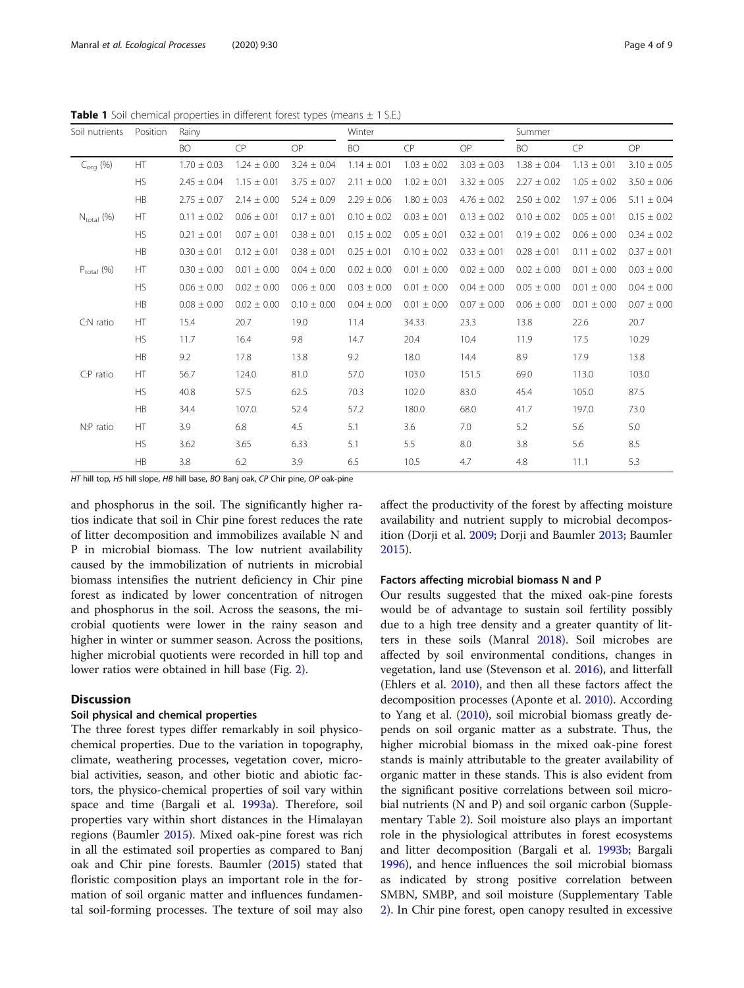<span id="page-3-0"></span>**Table 1** Soil chemical properties in different forest types (means  $\pm$  1 S.E.)

| Soil nutrients         | Position  | Rainy           |                 |                 | Winter          |                 |                 | Summer          |                 |                 |
|------------------------|-----------|-----------------|-----------------|-----------------|-----------------|-----------------|-----------------|-----------------|-----------------|-----------------|
|                        |           | <b>BO</b>       | CP              | OP              | <b>BO</b>       | CP              | OP              | <b>BO</b>       | CP              | OP              |
| $C_{\text{ora}}$ (%)   | <b>HT</b> | $1.70 \pm 0.03$ | $1.24 \pm 0.00$ | $3.24 \pm 0.04$ | $1.14 \pm 0.01$ | $1.03 \pm 0.02$ | $3.03 \pm 0.03$ | $1.38 \pm 0.04$ | $1.13 \pm 0.01$ | $3.10 \pm 0.05$ |
|                        | <b>HS</b> | $2.45 \pm 0.04$ | $1.15 \pm 0.01$ | $3.75 \pm 0.07$ | $2.11 \pm 0.00$ | $1.02 \pm 0.01$ | $3.32 \pm 0.05$ | $2.27 \pm 0.02$ | $1.05 \pm 0.02$ | $3.50 \pm 0.06$ |
|                        | HB        | $2.75 \pm 0.07$ | $2.14 \pm 0.00$ | $5.24 \pm 0.09$ | $2.29 \pm 0.06$ | $1.80 \pm 0.03$ | $4.76 \pm 0.02$ | $2.50 \pm 0.02$ | $1.97 \pm 0.06$ | $5.11 \pm 0.04$ |
| $N_{\text{total}}$ (%) | HT        | $0.11 \pm 0.02$ | $0.06 \pm 0.01$ | $0.17 \pm 0.01$ | $0.10 \pm 0.02$ | $0.03 \pm 0.01$ | $0.13 \pm 0.02$ | $0.10 \pm 0.02$ | $0.05 \pm 0.01$ | $0.15 \pm 0.02$ |
|                        | <b>HS</b> | $0.21 \pm 0.01$ | $0.07 \pm 0.01$ | $0.38 \pm 0.01$ | $0.15 \pm 0.02$ | $0.05 \pm 0.01$ | $0.32 \pm 0.01$ | $0.19 \pm 0.02$ | $0.06 \pm 0.00$ | $0.34 \pm 0.02$ |
|                        | HB        | $0.30 \pm 0.01$ | $0.12 \pm 0.01$ | $0.38 \pm 0.01$ | $0.25 \pm 0.01$ | $0.10 \pm 0.02$ | $0.33 \pm 0.01$ | $0.28 \pm 0.01$ | $0.11 \pm 0.02$ | $0.37 \pm 0.01$ |
| $P_{\text{total}}$ (%) | <b>HT</b> | $0.30 \pm 0.00$ | $0.01 \pm 0.00$ | $0.04 \pm 0.00$ | $0.02 \pm 0.00$ | $0.01 \pm 0.00$ | $0.02 \pm 0.00$ | $0.02 \pm 0.00$ | $0.01 \pm 0.00$ | $0.03 \pm 0.00$ |
|                        | HS        | $0.06 \pm 0.00$ | $0.02 \pm 0.00$ | $0.06 \pm 0.00$ | $0.03 \pm 0.00$ | $0.01 \pm 0.00$ | $0.04 \pm 0.00$ | $0.05 \pm 0.00$ | $0.01 \pm 0.00$ | $0.04 \pm 0.00$ |
|                        | <b>HB</b> | $0.08 \pm 0.00$ | $0.02 \pm 0.00$ | $0.10 \pm 0.00$ | $0.04 \pm 0.00$ | $0.01 \pm 0.00$ | $0.07 \pm 0.00$ | $0.06 \pm 0.00$ | $0.01 \pm 0.00$ | $0.07 \pm 0.00$ |
| C:N ratio              | HT        | 15.4            | 20.7            | 19.0            | 11.4            | 34.33           | 23.3            | 13.8            | 22.6            | 20.7            |
|                        | <b>HS</b> | 11.7            | 16.4            | 9.8             | 14.7            | 20.4            | 10.4            | 11.9            | 17.5            | 10.29           |
|                        | HB        | 9.2             | 17.8            | 13.8            | 9.2             | 18.0            | 14.4            | 8.9             | 17.9            | 13.8            |
| C:P ratio              | HT        | 56.7            | 124.0           | 81.0            | 57.0            | 103.0           | 151.5           | 69.0            | 113.0           | 103.0           |
|                        | <b>HS</b> | 40.8            | 57.5            | 62.5            | 70.3            | 102.0           | 83.0            | 45.4            | 105.0           | 87.5            |
|                        | HB        | 34.4            | 107.0           | 52.4            | 57.2            | 180.0           | 68.0            | 41.7            | 197.0           | 73.0            |
| N:P ratio              | HT        | 3.9             | 6.8             | 4.5             | 5.1             | 3.6             | 7.0             | 5.2             | 5.6             | 5.0             |
|                        | <b>HS</b> | 3.62            | 3.65            | 6.33            | 5.1             | 5.5             | 8.0             | 3.8             | 5.6             | 8.5             |
|                        | HB        | 3.8             | 6.2             | 3.9             | 6.5             | 10.5            | 4.7             | 4.8             | 11.1            | 5.3             |

HT hill top, HS hill slope, HB hill base, BO Banj oak, CP Chir pine, OP oak-pine

and phosphorus in the soil. The significantly higher ratios indicate that soil in Chir pine forest reduces the rate of litter decomposition and immobilizes available N and P in microbial biomass. The low nutrient availability caused by the immobilization of nutrients in microbial biomass intensifies the nutrient deficiency in Chir pine forest as indicated by lower concentration of nitrogen and phosphorus in the soil. Across the seasons, the microbial quotients were lower in the rainy season and higher in winter or summer season. Across the positions, higher microbial quotients were recorded in hill top and lower ratios were obtained in hill base (Fig. [2](#page-5-0)).

## **Discussion**

## Soil physical and chemical properties

The three forest types differ remarkably in soil physicochemical properties. Due to the variation in topography, climate, weathering processes, vegetation cover, microbial activities, season, and other biotic and abiotic factors, the physico-chemical properties of soil vary within space and time (Bargali et al. [1993a\)](#page-8-0). Therefore, soil properties vary within short distances in the Himalayan regions (Baumler [2015\)](#page-8-0). Mixed oak-pine forest was rich in all the estimated soil properties as compared to Banj oak and Chir pine forests. Baumler ([2015](#page-8-0)) stated that floristic composition plays an important role in the formation of soil organic matter and influences fundamental soil-forming processes. The texture of soil may also affect the productivity of the forest by affecting moisture availability and nutrient supply to microbial decomposition (Dorji et al. [2009](#page-8-0); Dorji and Baumler [2013](#page-8-0); Baumler [2015](#page-8-0)).

#### Factors affecting microbial biomass N and P

Our results suggested that the mixed oak-pine forests would be of advantage to sustain soil fertility possibly due to a high tree density and a greater quantity of litters in these soils (Manral [2018\)](#page-8-0). Soil microbes are affected by soil environmental conditions, changes in vegetation, land use (Stevenson et al. [2016\)](#page-8-0), and litterfall (Ehlers et al. [2010\)](#page-8-0), and then all these factors affect the decomposition processes (Aponte et al. [2010\)](#page-8-0). According to Yang et al. ([2010](#page-8-0)), soil microbial biomass greatly depends on soil organic matter as a substrate. Thus, the higher microbial biomass in the mixed oak-pine forest stands is mainly attributable to the greater availability of organic matter in these stands. This is also evident from the significant positive correlations between soil microbial nutrients (N and P) and soil organic carbon (Supplementary Table [2](#page-7-0)). Soil moisture also plays an important role in the physiological attributes in forest ecosystems and litter decomposition (Bargali et al. [1993b](#page-8-0); Bargali [1996](#page-8-0)), and hence influences the soil microbial biomass as indicated by strong positive correlation between SMBN, SMBP, and soil moisture (Supplementary Table [2\)](#page-7-0). In Chir pine forest, open canopy resulted in excessive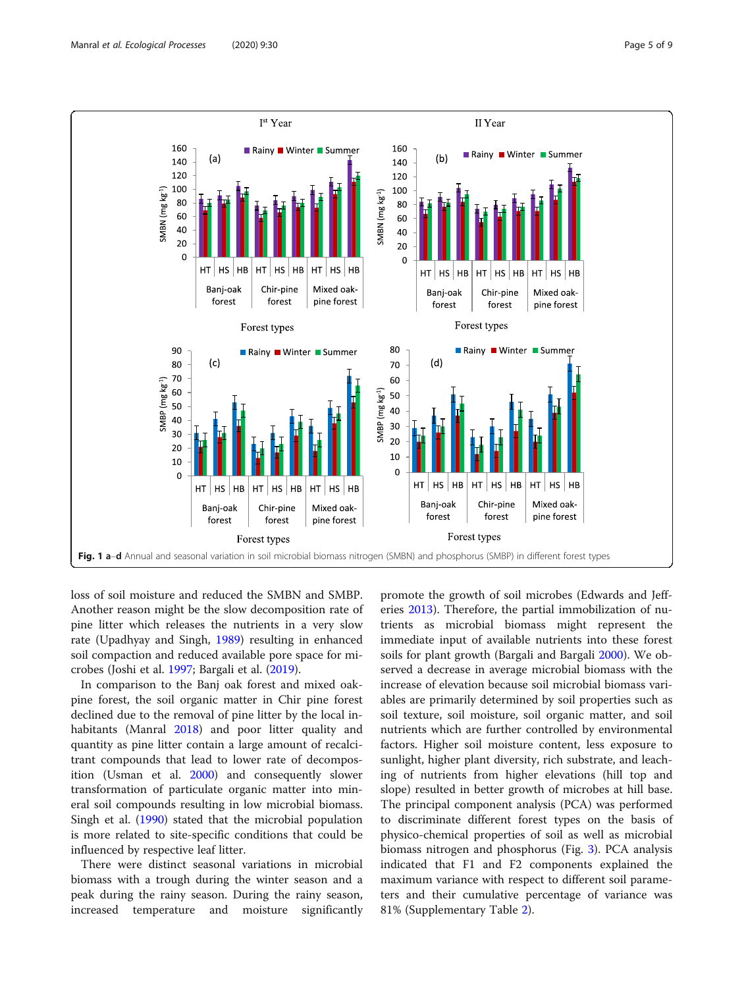<span id="page-4-0"></span>

loss of soil moisture and reduced the SMBN and SMBP. Another reason might be the slow decomposition rate of pine litter which releases the nutrients in a very slow rate (Upadhyay and Singh, [1989](#page-8-0)) resulting in enhanced soil compaction and reduced available pore space for microbes (Joshi et al. [1997](#page-8-0); Bargali et al. [\(2019\)](#page-8-0).

In comparison to the Banj oak forest and mixed oakpine forest, the soil organic matter in Chir pine forest declined due to the removal of pine litter by the local inhabitants (Manral [2018](#page-8-0)) and poor litter quality and quantity as pine litter contain a large amount of recalcitrant compounds that lead to lower rate of decomposition (Usman et al. [2000\)](#page-8-0) and consequently slower transformation of particulate organic matter into mineral soil compounds resulting in low microbial biomass. Singh et al. ([1990](#page-8-0)) stated that the microbial population is more related to site-specific conditions that could be influenced by respective leaf litter.

There were distinct seasonal variations in microbial biomass with a trough during the winter season and a peak during the rainy season. During the rainy season, increased temperature and moisture significantly

promote the growth of soil microbes (Edwards and Jefferies [2013\)](#page-8-0). Therefore, the partial immobilization of nutrients as microbial biomass might represent the immediate input of available nutrients into these forest soils for plant growth (Bargali and Bargali [2000](#page-8-0)). We observed a decrease in average microbial biomass with the increase of elevation because soil microbial biomass variables are primarily determined by soil properties such as soil texture, soil moisture, soil organic matter, and soil nutrients which are further controlled by environmental factors. Higher soil moisture content, less exposure to sunlight, higher plant diversity, rich substrate, and leaching of nutrients from higher elevations (hill top and slope) resulted in better growth of microbes at hill base. The principal component analysis (PCA) was performed to discriminate different forest types on the basis of physico-chemical properties of soil as well as microbial biomass nitrogen and phosphorus (Fig. [3\)](#page-5-0). PCA analysis indicated that F1 and F2 components explained the maximum variance with respect to different soil parameters and their cumulative percentage of variance was 81% (Supplementary Table [2\)](#page-7-0).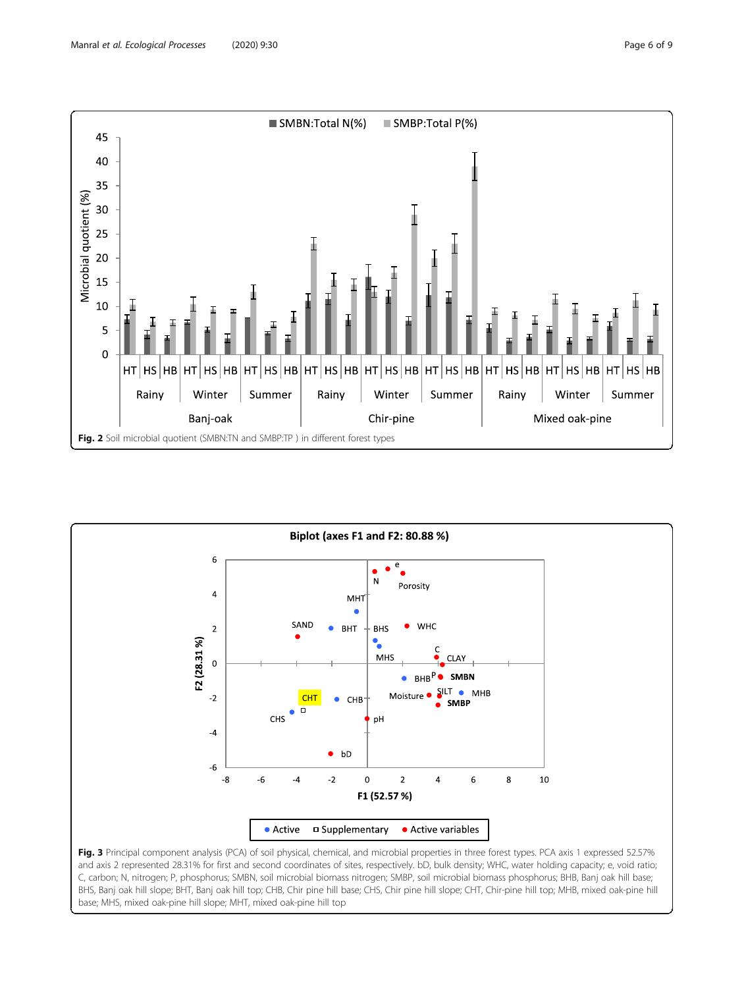<span id="page-5-0"></span>



and axis 2 represented 28.31% for first and second coordinates of sites, respectively. bD, bulk density; WHC, water holding capacity; e, void ratio; C, carbon; N, nitrogen; P, phosphorus; SMBN, soil microbial biomass nitrogen; SMBP, soil microbial biomass phosphorus; BHB, Banj oak hill base; BHS, Banj oak hill slope; BHT, Banj oak hill top; CHB, Chir pine hill base; CHS, Chir pine hill slope; CHT, Chir-pine hill top; MHB, mixed oak-pine hill base; MHS, mixed oak-pine hill slope; MHT, mixed oak-pine hill top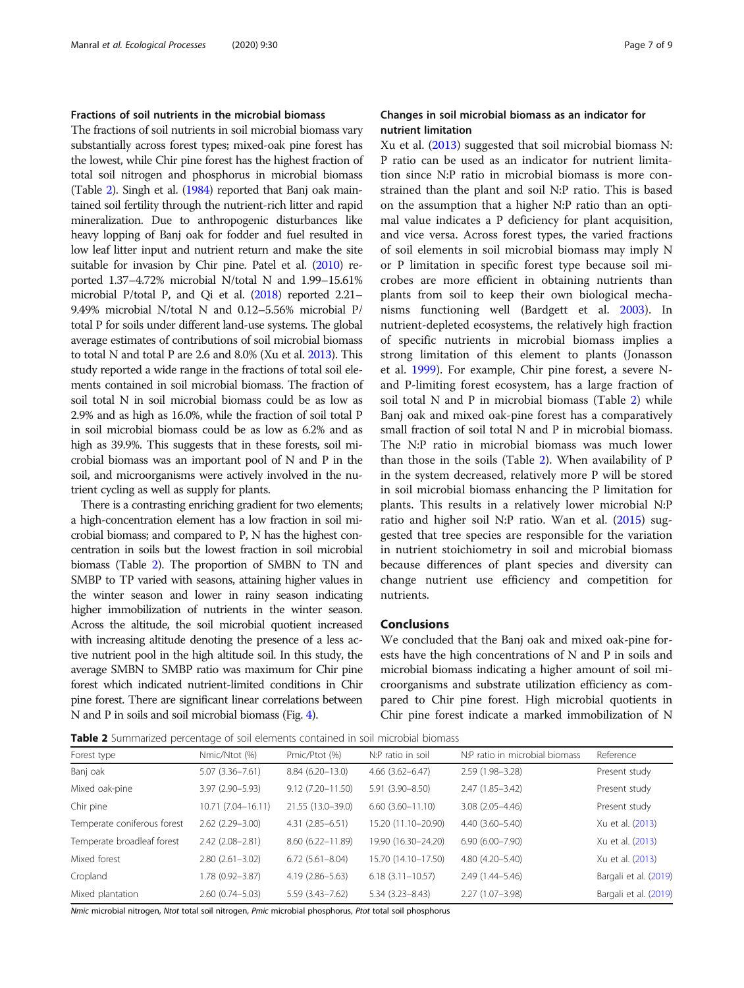## Fractions of soil nutrients in the microbial biomass

The fractions of soil nutrients in soil microbial biomass vary substantially across forest types; mixed-oak pine forest has the lowest, while Chir pine forest has the highest fraction of total soil nitrogen and phosphorus in microbial biomass (Table 2). Singh et al. ([1984\)](#page-8-0) reported that Banj oak maintained soil fertility through the nutrient-rich litter and rapid mineralization. Due to anthropogenic disturbances like heavy lopping of Banj oak for fodder and fuel resulted in low leaf litter input and nutrient return and make the site suitable for invasion by Chir pine. Patel et al. [\(2010\)](#page-8-0) reported 1.37–4.72% microbial N/total N and 1.99–15.61% microbial P/total P, and Qi et al. ([2018\)](#page-8-0) reported 2.21– 9.49% microbial N/total N and 0.12–5.56% microbial P/ total P for soils under different land-use systems. The global average estimates of contributions of soil microbial biomass to total N and total P are 2.6 and 8.0% (Xu et al. [2013](#page-8-0)). This study reported a wide range in the fractions of total soil elements contained in soil microbial biomass. The fraction of soil total N in soil microbial biomass could be as low as 2.9% and as high as 16.0%, while the fraction of soil total P in soil microbial biomass could be as low as 6.2% and as high as 39.9%. This suggests that in these forests, soil microbial biomass was an important pool of N and P in the soil, and microorganisms were actively involved in the nutrient cycling as well as supply for plants.

There is a contrasting enriching gradient for two elements; a high-concentration element has a low fraction in soil microbial biomass; and compared to P, N has the highest concentration in soils but the lowest fraction in soil microbial biomass (Table 2). The proportion of SMBN to TN and SMBP to TP varied with seasons, attaining higher values in the winter season and lower in rainy season indicating higher immobilization of nutrients in the winter season. Across the altitude, the soil microbial quotient increased with increasing altitude denoting the presence of a less active nutrient pool in the high altitude soil. In this study, the average SMBN to SMBP ratio was maximum for Chir pine forest which indicated nutrient-limited conditions in Chir pine forest. There are significant linear correlations between N and P in soils and soil microbial biomass (Fig. [4\)](#page-7-0).

## Changes in soil microbial biomass as an indicator for nutrient limitation

Xu et al. [\(2013\)](#page-8-0) suggested that soil microbial biomass N: P ratio can be used as an indicator for nutrient limitation since N:P ratio in microbial biomass is more constrained than the plant and soil N:P ratio. This is based on the assumption that a higher N:P ratio than an optimal value indicates a P deficiency for plant acquisition, and vice versa. Across forest types, the varied fractions of soil elements in soil microbial biomass may imply N or P limitation in specific forest type because soil microbes are more efficient in obtaining nutrients than plants from soil to keep their own biological mechanisms functioning well (Bardgett et al. [2003](#page-8-0)). In nutrient-depleted ecosystems, the relatively high fraction of specific nutrients in microbial biomass implies a strong limitation of this element to plants (Jonasson et al. [1999](#page-8-0)). For example, Chir pine forest, a severe Nand P-limiting forest ecosystem, has a large fraction of soil total N and P in microbial biomass (Table 2) while Banj oak and mixed oak-pine forest has a comparatively small fraction of soil total N and P in microbial biomass. The N:P ratio in microbial biomass was much lower than those in the soils (Table 2). When availability of P in the system decreased, relatively more P will be stored in soil microbial biomass enhancing the P limitation for plants. This results in a relatively lower microbial N:P ratio and higher soil N:P ratio. Wan et al. [\(2015\)](#page-8-0) suggested that tree species are responsible for the variation in nutrient stoichiometry in soil and microbial biomass because differences of plant species and diversity can change nutrient use efficiency and competition for nutrients.

#### Conclusions

We concluded that the Banj oak and mixed oak-pine forests have the high concentrations of N and P in soils and microbial biomass indicating a higher amount of soil microorganisms and substrate utilization efficiency as compared to Chir pine forest. High microbial quotients in Chir pine forest indicate a marked immobilization of N

Table 2 Summarized percentage of soil elements contained in soil microbial biomass

| <b>TWOLE 4</b> JUITING IZEN PERCENTAGE OF JOIL CICITICITIS CONTAINED IN JOIL HIRE ODIAL DIOTHAJS |                     |                      |                        |                                |                       |  |  |  |  |  |
|--------------------------------------------------------------------------------------------------|---------------------|----------------------|------------------------|--------------------------------|-----------------------|--|--|--|--|--|
| Forest type                                                                                      | Nmic/Ntot (%)       | Pmic/Ptot (%)        | N:P ratio in soil      | N:P ratio in microbial biomass | Reference             |  |  |  |  |  |
| Banj oak                                                                                         | $5.07(3.36 - 7.61)$ | $8.84(6.20-13.0)$    | $4.66$ $(3.62 - 6.47)$ | $2.59(1.98 - 3.28)$            | Present study         |  |  |  |  |  |
| Mixed oak-pine                                                                                   | $3.97(2.90 - 5.93)$ | $9.12(7.20 - 11.50)$ | 5.91 (3.90-8.50)       | $2.47(1.85 - 3.42)$            | Present study         |  |  |  |  |  |
| Chir pine                                                                                        | 10.71 (7.04-16.11)  | 21.55 (13.0-39.0)    | $6.60(3.60 - 11.10)$   | $3.08(2.05 - 4.46)$            | Present study         |  |  |  |  |  |
| Temperate coniferous forest                                                                      | $2.62(2.29 - 3.00)$ | $4.31(2.85 - 6.51)$  | 15.20 (11.10-20.90)    | $4.40(3.60 - 5.40)$            | Xu et al. (2013)      |  |  |  |  |  |
| Temperate broadleaf forest                                                                       | $2.42(2.08-2.81)$   | $8.60(6.22 - 11.89)$ | 19.90 (16.30-24.20)    | $6.90(6.00 - 7.90)$            | Xu et al. (2013)      |  |  |  |  |  |
| Mixed forest                                                                                     | $2.80(2.61 - 3.02)$ | $6.72(5.61 - 8.04)$  | 15.70 (14.10-17.50)    | 4.80 (4.20-5.40)               | Xu et al. (2013)      |  |  |  |  |  |
| Cropland                                                                                         | $1.78(0.92 - 3.87)$ | 4.19 (2.86-5.63)     | $6.18(3.11 - 10.57)$   | $2.49(1.44 - 5.46)$            | Bargali et al. (2019) |  |  |  |  |  |
| Mixed plantation                                                                                 | $2.60(0.74 - 5.03)$ | $5.59(3.43 - 7.62)$  | $5.34(3.23 - 8.43)$    | $2.27(1.07 - 3.98)$            | Bargali et al. (2019) |  |  |  |  |  |
|                                                                                                  |                     |                      |                        |                                |                       |  |  |  |  |  |

Nmic microbial nitrogen, Ntot total soil nitrogen, Pmic microbial phosphorus, Ptot total soil phosphorus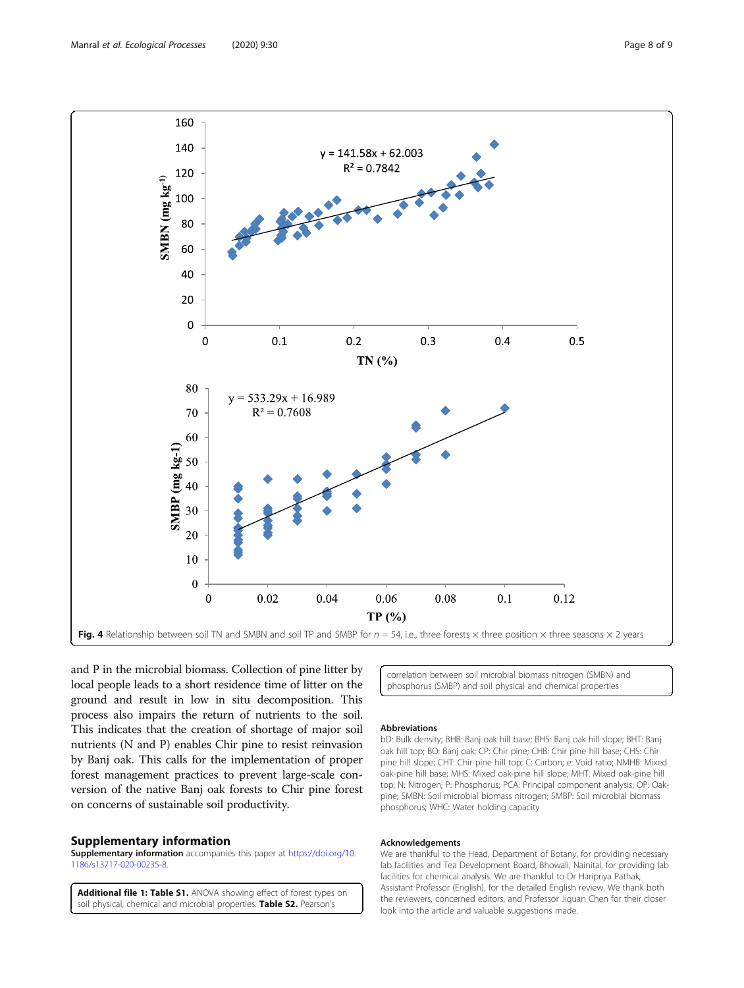and P in the microbial biomass. Collection of pine litter by local people leads to a short residence time of litter on the ground and result in low in situ decomposition. This process also impairs the return of nutrients to the soil. This indicates that the creation of shortage of major soil nutrients (N and P) enables Chir pine to resist reinvasion by Banj oak. This calls for the implementation of proper forest management practices to prevent large-scale conversion of the native Banj oak forests to Chir pine forest on concerns of sustainable soil productivity.

## Supplementary information

Supplementary information accompanies this paper at [https://doi.org/10.](https://doi.org/10.1186/s13717-020-00235-8) [1186/s13717-020-00235-8](https://doi.org/10.1186/s13717-020-00235-8).

Additional file 1: Table S1. ANOVA showing effect of forest types on soil physical, chemical and microbial properties. Table S2. Pearson's

correlation between soil microbial biomass nitrogen (SMBN) and phosphorus (SMBP) and soil physical and chemical properties

#### Abbreviations

bD: Bulk density; BHB: Banj oak hill base; BHS: Banj oak hill slope; BHT: Banj oak hill top; BO: Banj oak; CP: Chir pine; CHB: Chir pine hill base; CHS: Chir pine hill slope; CHT: Chir pine hill top; C: Carbon; e: Void ratio; NMHB: Mixed oak-pine hill base; MHS: Mixed oak-pine hill slope; MHT: Mixed oak-pine hill top; N: Nitrogen; P: Phosphorus; PCA: Principal component analysis; OP: Oakpine; SMBN: Soil microbial biomass nitrogen; SMBP: Soil microbial biomass phosphorus; WHC: Water holding capacity

#### Acknowledgements

We are thankful to the Head, Department of Botany, for providing necessary lab facilities and Tea Development Board, Bhowali, Nainital, for providing lab facilities for chemical analysis. We are thankful to Dr Haripriya Pathak, Assistant Professor (English), for the detailed English review. We thank both the reviewers, concerned editors, and Professor Jiquan Chen for their closer look into the article and valuable suggestions made.

<span id="page-7-0"></span>